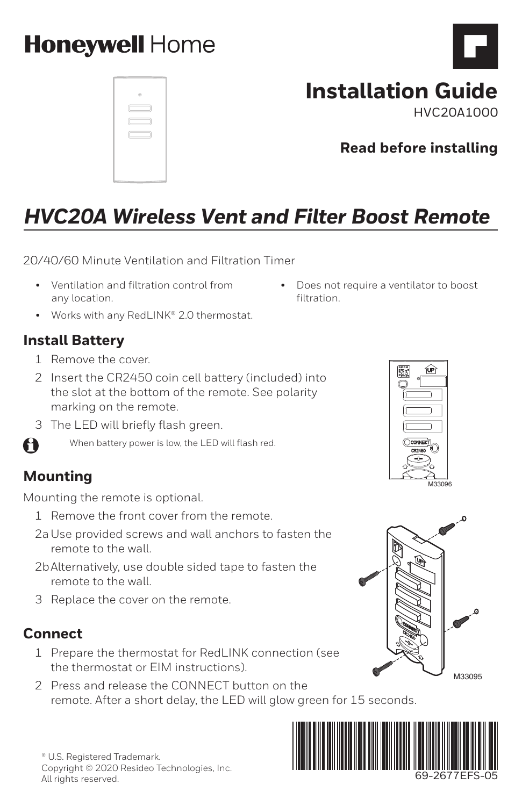# **Honeywell Home**

|                  | a   |
|------------------|-----|
|                  | c – |
| $\subset$ .<br>Ċ | J)  |
|                  |     |
|                  |     |
|                  |     |

# **Installation Guide**

• Does not require a ventilator to boost

filtration.

HVC20A1000

**Read before installing**

# *HVC20A Wireless Vent and Filter Boost Remote*

20/40/60 Minute Ventilation and Filtration Timer

- Ventilation and filtration control from any location.
- Works with any RedLINK® 2.0 thermostat.

### **Install Battery**

- 1 Remove the cover.
- 2 Insert the CR2450 coin cell battery (included) into the slot at the bottom of the remote. See polarity marking on the remote.
- 3 The LED will briefly flash green.



### **Mounting**

A

Mounting the remote is optional.

- 1 Remove the front cover from the remote.
- 2aUse provided screws and wall anchors to fasten the remote to the wall.
- 2bAlternatively, use double sided tape to fasten the remote to the wall.
- 3 Replace the cover on the remote.

### **Connect**

- 1 Prepare the thermostat for RedLINK connection (see the thermostat or EIM instructions).
- 2 Press and release the CONNECT button on the remote. After a short delay, the LED will glow green for 15 seconds.





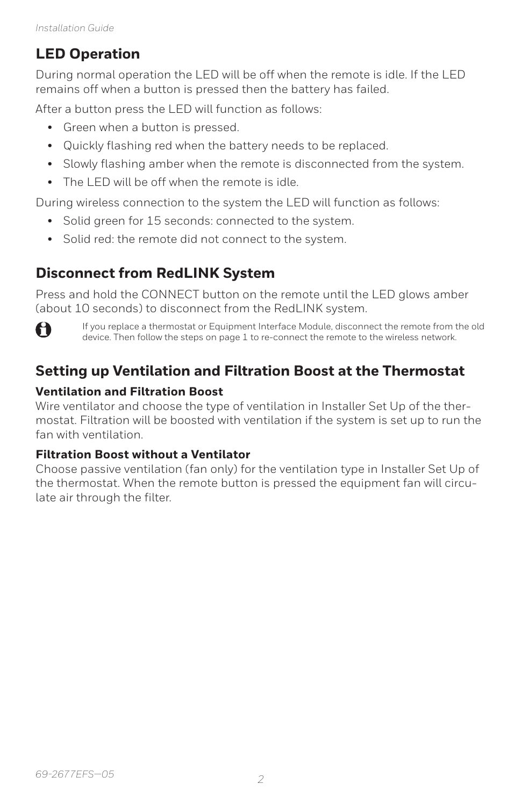### **LED Operation**

During normal operation the LED will be off when the remote is idle. If the LED remains off when a button is pressed then the battery has failed.

After a button press the LED will function as follows:

- Green when a button is pressed.
- Quickly flashing red when the battery needs to be replaced.
- Slowly flashing amber when the remote is disconnected from the system.
- The LED will be off when the remote is idle.

During wireless connection to the system the LED will function as follows:

- Solid green for 15 seconds: connected to the system.
- Solid red: the remote did not connect to the system.

## **Disconnect from RedLINK System**

Press and hold the CONNECT button on the remote until the LED glows amber (about 10 seconds) to disconnect from the RedLINK system.



If you replace a thermostat or Equipment Interface Module, disconnect the remote from the old device. Then follow the steps on page 1 to re-connect the remote to the wireless network.

## **Setting up Ventilation and Filtration Boost at the Thermostat**

#### **Ventilation and Filtration Boost**

Wire ventilator and choose the type of ventilation in Installer Set Up of the thermostat. Filtration will be boosted with ventilation if the system is set up to run the fan with ventilation.

#### **Filtration Boost without a Ventilator**

Choose passive ventilation (fan only) for the ventilation type in Installer Set Up of the thermostat. When the remote button is pressed the equipment fan will circulate air through the filter.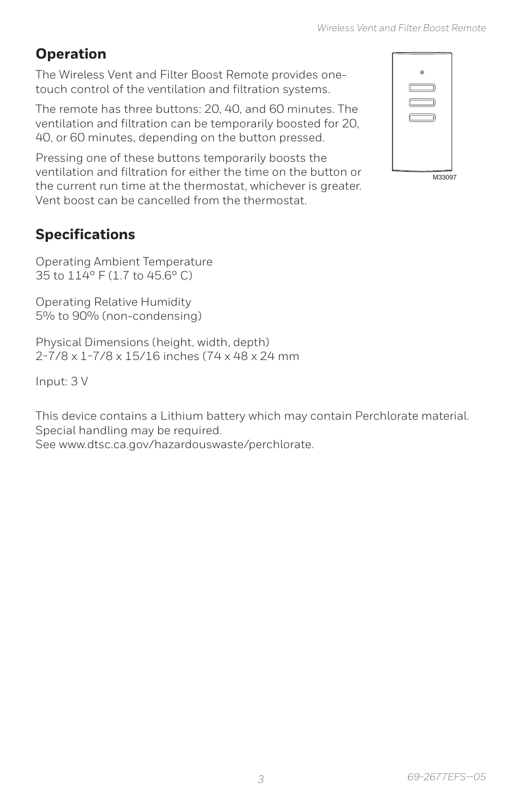# **Operation**

The Wireless Vent and Filter Boost Remote provides onetouch control of the ventilation and filtration systems.

The remote has three buttons: 20, 40, and 60 minutes. The ventilation and filtration can be temporarily boosted for 20, 40, or 60 minutes, depending on the button pressed.

Pressing one of these buttons temporarily boosts the ventilation and filtration for either the time on the button or the current run time at the thermostat, whichever is greater. Vent boost can be cancelled from the thermostat.

| ۰      |
|--------|
| Œ<br>Τ |
|        |
|        |
|        |
|        |
| M33097 |

## **Specifications**

Operating Ambient Temperature 35 to 114° F (1.7 to 45.6° C)

Operating Relative Humidity 5% to 90% (non-condensing)

Physical Dimensions (height, width, depth) 2-7/8 x 1-7/8 x 15/16 inches (74 x 48 x 24 mm

Input: 3 V

This device contains a Lithium battery which may contain Perchlorate material. Special handling may be required. See www.dtsc.ca.gov/hazardouswaste/perchlorate.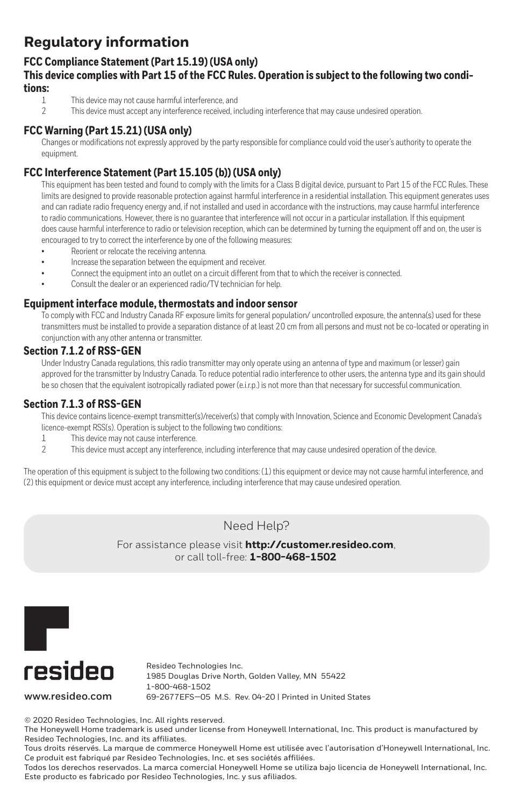## **Regulatory information**

#### **FCC Compliance Statement (Part 15.19) (USA only)**

## **This device complies with Part 15 of the FCC Rules. Operation is subject to the following two conditions:**

- This device may not cause harmful interference, and
- 2 This device must accept any interference received, including interference that may cause undesired operation.

#### **FCC Warning (Part 15.21) (USA only)**

Changes or modifications not expressly approved by the party responsible for compliance could void the user's authority to operate the equipment.

#### **FCC Interference Statement (Part 15.105 (b)) (USA only)**

This equipment has been tested and found to comply with the limits for a Class B digital device, pursuant to Part 15 of the FCC Rules. These limits are designed to provide reasonable protection against harmful interference in a residential installation. This equipment generates uses and can radiate radio frequency energy and, if not installed and used in accordance with the instructions, may cause harmful interference to radio communications. However, there is no guarantee that interference will not occur in a particular installation. If this equipment does cause harmful interference to radio or television reception, which can be determined by turning the equipment off and on, the user is encouraged to try to correct the interference by one of the following measures:

- Reorient or relocate the receiving antenna.
- Increase the separation between the equipment and receiver.
- Connect the equipment into an outlet on a circuit different from that to which the receiver is connected.
- Consult the dealer or an experienced radio/TV technician for help.

#### **Equipment interface module, thermostats and indoor sensor**

To comply with FCC and Industry Canada RF exposure limits for general population/ uncontrolled exposure, the antenna(s) used for these transmitters must be installed to provide a separation distance of at least 20 cm from all persons and must not be co-located or operating in conjunction with any other antenna or transmitter.

#### **Section 7.1.2 of RSS-GEN**

Under Industry Canada regulations, this radio transmitter may only operate using an antenna of type and maximum (or lesser) gain approved for the transmitter by Industry Canada. To reduce potential radio interference to other users, the antenna type and its gain should be so chosen that the equivalent isotropically radiated power (e.i.r.p.) is not more than that necessary for successful communication.

#### **Section 7.1.3 of RSS-GEN**

This device contains licence-exempt transmitter(s)/receiver(s) that comply with Innovation, Science and Economic Development Canada's licence-exempt RSS(s). Operation is subject to the following two conditions:

- 1 This device may not cause interference.
- 2 This device must accept any interference, including interference that may cause undesired operation of the device.

The operation of this equipment is subject to the following two conditions: (1) this equipment or device may not cause harmful interference, and (2) this equipment or device must accept any interference, including interference that may cause undesired operation.

#### Need Help?

For assistance please visit **http://customer.resideo.com**, or call toll-free: **1-800-468-1502**



Resideo Technologies Inc. 1985 Douglas Drive North, Golden Valley, MN 55422 1-800-468-1502 **www.resideo.com** 69-2677EFS—05 M.S. Rev. 04-20 | Printed in United States

© 2020 Resideo Technologies, Inc. All rights reserved.

The Honeywell Home trademark is used under license from Honeywell International, Inc. This product is manufactured by Resideo Technologies, Inc. and its affiliates.

Tous droits réservés. La marque de commerce Honeywell Home est utilisée avec l'autorisation d'Honeywell International, Inc. Ce produit est fabriqué par Resideo Technologies, Inc. et ses sociétés affiliées.

Todos los derechos reservados. La marca comercial Honeywell Home se utiliza bajo licencia de Honeywell International, Inc. Este producto es fabricado por Resideo Technologies, Inc. y sus afiliados.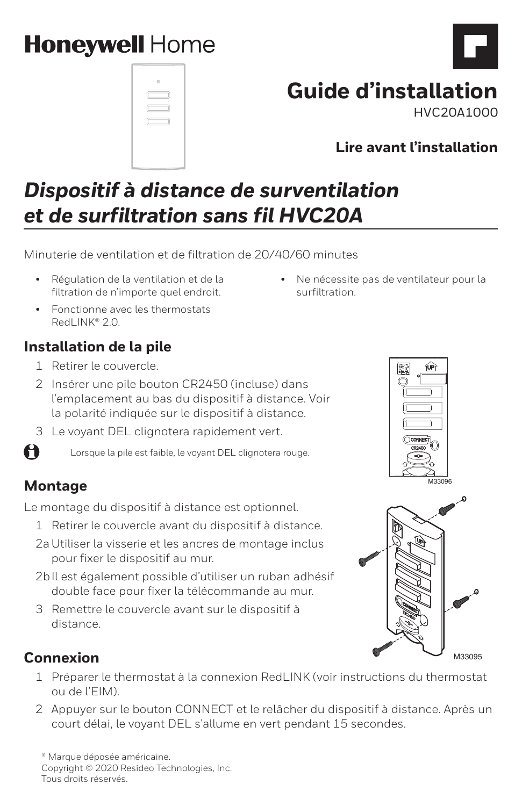# **Honeywell Home**

|    | ø |  |
|----|---|--|
| ſΓ |   |  |
| C  |   |  |
|    |   |  |
|    |   |  |
|    |   |  |

# **Guide d'installation**

• Ne nécessite pas de ventilateur pour la

surfiltration.

HVC20A1000

# *Dispositif à distance de surventilation et de surfiltration sans fil HVC20A*

Minuterie de ventilation et de filtration de 20/40/60 minutes

- Régulation de la ventilation et de la filtration de n'importe quel endroit.
- Fonctionne avec les thermostats RedLINK® 2.0

### **Installation de la pile**

- 1 Retirer le couvercle.
- 2 Insérer une pile bouton CR2450 (incluse) dans l'emplacement au bas du dispositif à distance. Voir la polarité indiquée sur le dispositif à distance.
- 3 Le voyant DEL clignotera rapidement vert.

Lorsque la pile est faible, le voyant DEL clignotera rouge.

## **Montage**

A

Le montage du dispositif à distance est optionnel.

- 1 Retirer le couvercle avant du dispositif à distance.
- 2aUtiliser la visserie et les ancres de montage inclus pour fixer le dispositif au mur.
- 2bIl est également possible d'utiliser un ruban adhésif double face pour fixer la télécommande au mur.
- 3 Remettre le couvercle avant sur le dispositif à distance.





## **Connexion**

- 1 Préparer le thermostat à la connexion RedLINK (voir instructions du thermostat ou de l'EIM).
- 2 Appuyer sur le bouton CONNECT et le relâcher du dispositif à distance. Après un court délai, le voyant DEL s'allume en vert pendant 15 secondes.

® Marque déposée américaine. Copyright © 2020 Resideo Technologies, Inc. Tous droits réservés.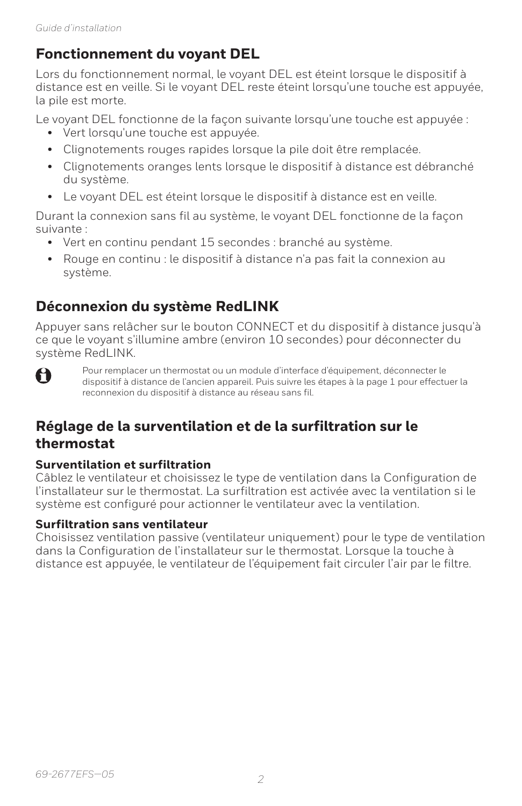### **Fonctionnement du voyant DEL**

Lors du fonctionnement normal, le voyant DEL est éteint lorsque le dispositif à distance est en veille. Si le voyant DEL reste éteint lorsqu'une touche est appuyée, la pile est morte.

Le voyant DEL fonctionne de la façon suivante lorsqu'une touche est appuyée :

- Vert lorsqu'une touche est appuyée.
- Clignotements rouges rapides lorsque la pile doit être remplacée.
- Clignotements oranges lents lorsque le dispositif à distance est débranché du système.
- Le voyant DEL est éteint lorsque le dispositif à distance est en veille.

Durant la connexion sans fil au système, le voyant DEL fonctionne de la façon suivante :

- Vert en continu pendant 15 secondes : branché au système.
- Rouge en continu : le dispositif à distance n'a pas fait la connexion au système.

## **Déconnexion du système RedLINK**

Appuyer sans relâcher sur le bouton CONNECT et du dispositif à distance jusqu'à ce que le voyant s'illumine ambre (environ 10 secondes) pour déconnecter du système RedLINK.



Pour remplacer un thermostat ou un module d'interface d'équipement, déconnecter le dispositif à distance de l'ancien appareil. Puis suivre les étapes à la page 1 pour effectuer la reconnexion du dispositif à distance au réseau sans fil.

### **Réglage de la surventilation et de la surfiltration sur le thermostat**

#### **Surventilation et surfiltration**

Câblez le ventilateur et choisissez le type de ventilation dans la Configuration de l'installateur sur le thermostat. La surfiltration est activée avec la ventilation si le système est configuré pour actionner le ventilateur avec la ventilation.

#### **Surfiltration sans ventilateur**

Choisissez ventilation passive (ventilateur uniquement) pour le type de ventilation dans la Configuration de l'installateur sur le thermostat. Lorsque la touche à distance est appuyée, le ventilateur de l'équipement fait circuler l'air par le filtre.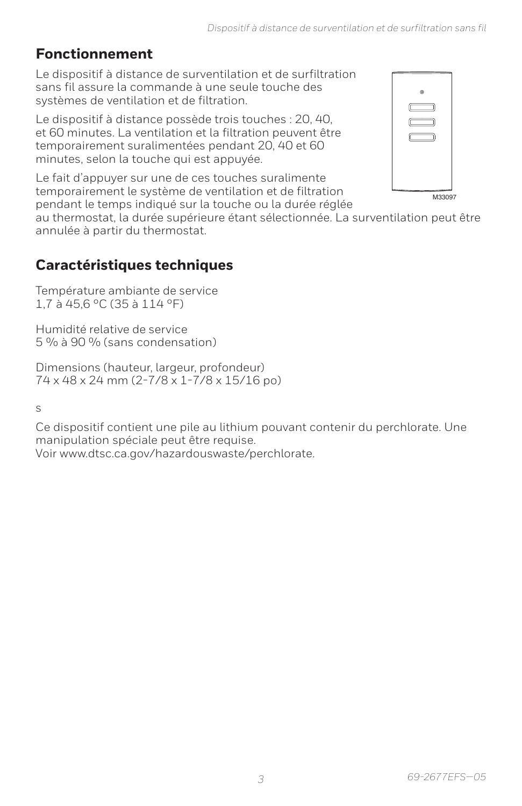## **Fonctionnement**

Le dispositif à distance de surventilation et de surfiltration sans fil assure la commande à une seule touche des systèmes de ventilation et de filtration.

Le dispositif à distance possède trois touches : 20, 40, et 60 minutes. La ventilation et la filtration peuvent être temporairement suralimentées pendant 20, 40 et 60 minutes, selon la touche qui est appuyée.

Le fait d'appuyer sur une de ces touches suralimente temporairement le système de ventilation et de filtration pendant le temps indiqué sur la touche ou la durée réglée



au thermostat, la durée supérieure étant sélectionnée. La surventilation peut être annulée à partir du thermostat.

## **Caractéristiques techniques**

Température ambiante de service 1,7 à 45,6 °C (35 à 114 °F)

Humidité relative de service 5 % à 90 % (sans condensation)

Dimensions (hauteur, largeur, profondeur) 74 x 48 x 24 mm (2-7/8 x 1-7/8 x 15/16 po)

s

Ce dispositif contient une pile au lithium pouvant contenir du perchlorate. Une manipulation spéciale peut être requise. Voir www.dtsc.ca.gov/hazardouswaste/perchlorate.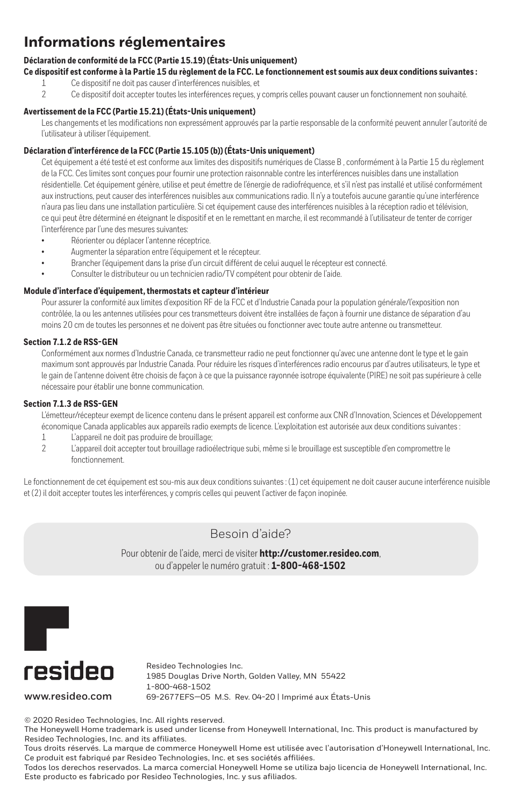### **Informations réglementaires**

#### **Déclaration de conformité de la FCC (Partie 15.19) (États-Unis uniquement)**

**Ce dispositif est conforme à la Partie 15 du règlement de la FCC. Le fonctionnement est soumis aux deux conditions suivantes :**

- 1 Ce dispositif ne doit pas causer d'interférences nuisibles, et
- 2 Ce dispositif doit accepter toutes les interférences reçues, y compris celles pouvant causer un fonctionnement non souhaité.

#### **Avertissement de la FCC (Partie 15.21) (États-Unis uniquement)**

Les changements et les modifications non expressément approuvés par la partie responsable de la conformité peuvent annuler l'autorité de l'utilisateur à utiliser l'équipement.

#### **Déclaration d'interférence de la FCC (Partie 15.105 (b)) (États-Unis uniquement)**

Cet équipement a été testé et est conforme aux limites des dispositifs numériques de Classe B , conformément à la Partie 15 du règlement de la FCC. Ces limites sont conçues pour fournir une protection raisonnable contre les interférences nuisibles dans une installation résidentielle. Cet équipement génère, utilise et peut émettre de l'énergie de radiofréquence, et s'il n'est pas installé et utilisé conformément aux instructions, peut causer des interférences nuisibles aux communications radio. Il n'y a toutefois aucune garantie qu'une interférence n'aura pas lieu dans une installation particulière. Si cet équipement cause des interférences nuisibles à la réception radio et télévision, ce qui peut être déterminé en éteignant le dispositif et en le remettant en marche, il est recommandé à l'utilisateur de tenter de corriger l'interférence par l'une des mesures suivantes:

- Réorienter ou déplacer l'antenne réceptrice.
- Augmenter la séparation entre l'équipement et le récepteur.
- Brancher l'équipement dans la prise d'un circuit différent de celui auquel le récepteur est connecté.
- Consulter le distributeur ou un technicien radio/TV compétent pour obtenir de l'aide.

#### **Module d'interface d'équipement, thermostats et capteur d'intérieur**

Pour assurer la conformité aux limites d'exposition RF de la FCC et d'Industrie Canada pour la population générale/l'exposition non contrôlée, la ou les antennes utilisées pour ces transmetteurs doivent être installées de façon à fournir une distance de séparation d'au moins 20 cm de toutes les personnes et ne doivent pas être situées ou fonctionner avec toute autre antenne ou transmetteur.

#### **Section 7.1.2 de RSS-GEN**

Conformément aux normes d'Industrie Canada, ce transmetteur radio ne peut fonctionner qu'avec une antenne dont le type et le gain maximum sont approuvés par Industrie Canada. Pour réduire les risques d'interférences radio encourus par d'autres utilisateurs, le type et le gain de l'antenne doivent être choisis de façon à ce que la puissance rayonnée isotrope équivalente (PIRE) ne soit pas supérieure à celle nécessaire pour établir une bonne communication.

#### **Section 7.1.3 de RSS-GEN**

L'émetteur/récepteur exempt de licence contenu dans le présent appareil est conforme aux CNR d'Innovation, Sciences et Développement économique Canada applicables aux appareils radio exempts de licence. L'exploitation est autorisée aux deux conditions suivantes :

- 1 L'appareil ne doit pas produire de brouillage;
- 2 L'appareil doit accepter tout brouillage radioélectrique subi, même si le brouillage est susceptible d'en compromettre le fonctionnement.

Le fonctionnement de cet équipement est sou-mis aux deux conditions suivantes : (1) cet équipement ne doit causer aucune interférence nuisible et (2) il doit accepter toutes les interférences, y compris celles qui peuvent l'activer de façon inopinée.

#### Besoin d'aide?

Pour obtenir de l'aide, merci de visiter **http://customer.resideo.com**, ou d'appeler le numéro gratuit : **1-800-468-1502**



**www.resideo.com**

Resideo Technologies Inc. 1985 Douglas Drive North, Golden Valley, MN 55422 1-800-468-1502 69-2677EFS—05 M.S. Rev. 04-20 | Imprimé aux États-Unis

© 2020 Resideo Technologies, Inc. All rights reserved.

The Honeywell Home trademark is used under license from Honeywell International, Inc. This product is manufactured by Resideo Technologies, Inc. and its affiliates.

Tous droits réservés. La marque de commerce Honeywell Home est utilisée avec l'autorisation d'Honeywell International, Inc. Ce produit est fabriqué par Resideo Technologies, Inc. et ses sociétés affiliées.

Todos los derechos reservados. La marca comercial Honeywell Home se utiliza bajo licencia de Honeywell International, Inc. Este producto es fabricado por Resideo Technologies, Inc. y sus afiliados.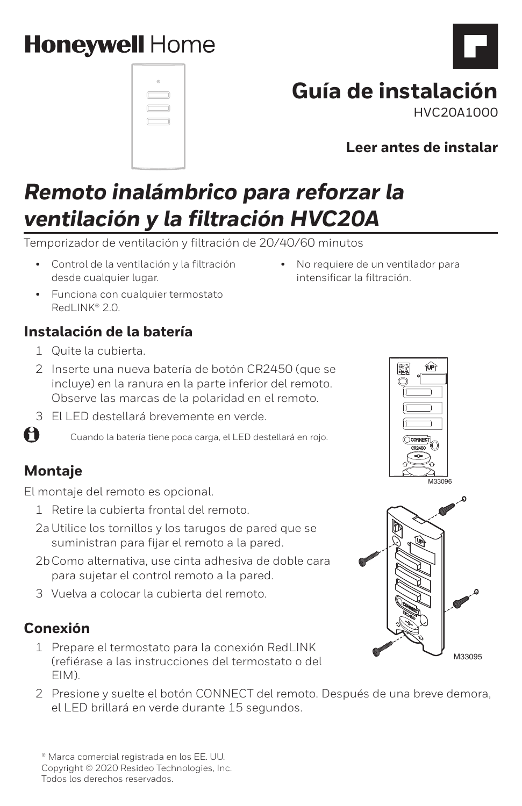# **Honeywell Home**

|   | ø      |   |  |
|---|--------|---|--|
|   | $\Box$ |   |  |
| c |        | ⊐ |  |
|   | r –    |   |  |

# **Guía de instalación**

HVC20A1000

**Leer antes de instalar**

# *Remoto inalámbrico para reforzar la ventilación y la filtración HVC20A*

Temporizador de ventilación y filtración de 20/40/60 minutos

- Control de la ventilación y la filtración desde cualquier lugar.
- Funciona con cualquier termostato RedLINK® 2.0

# **Instalación de la batería**

- 1 Quite la cubierta.
- 2 Inserte una nueva batería de botón CR2450 (que se incluye) en la ranura en la parte inferior del remoto. Observe las marcas de la polaridad en el remoto.
- 3 El LED destellará brevemente en verde.

Cuando la batería tiene poca carga, el LED destellará en rojo.

# **Montaje**

61

El montaje del remoto es opcional.

- 1 Retire la cubierta frontal del remoto.
- 2aUtilice los tornillos y los tarugos de pared que se suministran para fijar el remoto a la pared.
- 2bComo alternativa, use cinta adhesiva de doble cara para sujetar el control remoto a la pared.
- 3 Vuelva a colocar la cubierta del remoto.

## **Conexión**

- 1 Prepare el termostato para la conexión RedLINK (refiérase a las instrucciones del termostato o del EIM).
- 2 Presione y suelte el botón CONNECT del remoto. Después de una breve demora, el LED brillará en verde durante 15 segundos.

® Marca comercial registrada en los EE. UU. Copyright © 2020 Resideo Technologies, Inc. Todos los derechos reservados.





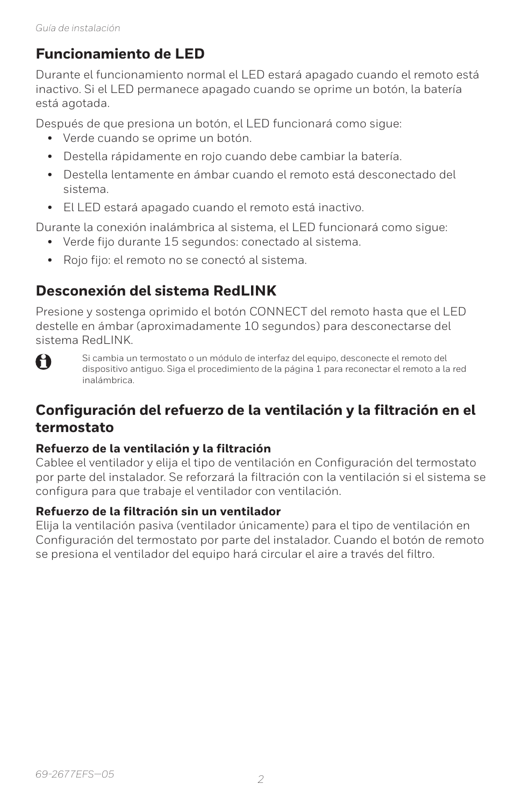### **Funcionamiento de LED**

Durante el funcionamiento normal el LED estará apagado cuando el remoto está inactivo. Si el LED permanece apagado cuando se oprime un botón, la batería está agotada.

Después de que presiona un botón, el LED funcionará como sigue:

- Verde cuando se oprime un botón.
- Destella rápidamente en rojo cuando debe cambiar la batería.
- Destella lentamente en ámbar cuando el remoto está desconectado del sistema.
- El LED estará apagado cuando el remoto está inactivo.

Durante la conexión inalámbrica al sistema, el LED funcionará como sigue:

- Verde fijo durante 15 segundos: conectado al sistema.
- Rojo fijo: el remoto no se conectó al sistema.

## **Desconexión del sistema RedLINK**

Presione y sostenga oprimido el botón CONNECT del remoto hasta que el LED destelle en ámbar (aproximadamente 10 segundos) para desconectarse del sistema RedLINK.



Si cambia un termostato o un módulo de interfaz del equipo, desconecte el remoto del dispositivo antiguo. Siga el procedimiento de la página 1 para reconectar el remoto a la red inalámbrica.

### **Configuración del refuerzo de la ventilación y la filtración en el termostato**

#### **Refuerzo de la ventilación y la filtración**

Cablee el ventilador y elija el tipo de ventilación en Configuración del termostato por parte del instalador. Se reforzará la filtración con la ventilación si el sistema se configura para que trabaje el ventilador con ventilación.

#### **Refuerzo de la filtración sin un ventilador**

Elija la ventilación pasiva (ventilador únicamente) para el tipo de ventilación en Configuración del termostato por parte del instalador. Cuando el botón de remoto se presiona el ventilador del equipo hará circular el aire a través del filtro.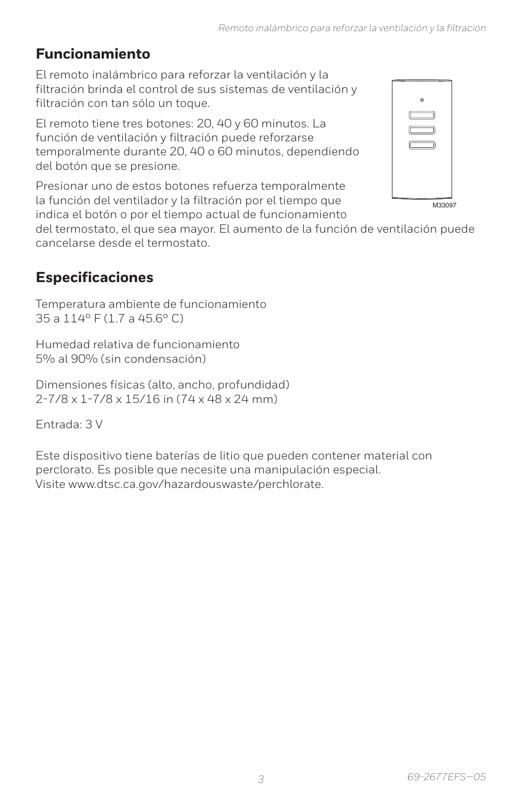# **Funcionamiento**

El remoto inalámbrico para reforzar la ventilación y la filtración brinda el control de sus sistemas de ventilación y filtración con tan sólo un toque.

El remoto tiene tres botones: 20, 40 y 60 minutos. La función de ventilación y filtración puede reforzarse temporalmente durante 20, 40 o 60 minutos, dependiendo del botón que se presione.

Presionar uno de estos botones refuerza temporalmente la función del ventilador y la filtración por el tiempo que indica el botón o por el tiempo actual de funcionamiento M33097

del termostato, el que sea mayor. El aumento de la función de ventilación puede cancelarse desde el termostato.

# **Especificaciones**

Temperatura ambiente de funcionamiento 35 a 114° F (1.7 a 45.6° C)

Humedad relativa de funcionamiento 5% al 90% (sin condensación)

Dimensiones físicas (alto, ancho, profundidad) 2-7/8 x 1-7/8 x 15/16 in (74 x 48 x 24 mm)

Entrada: 3 V

Este dispositivo tiene baterías de litio que pueden contener material con perclorato. Es posible que necesite una manipulación especial. Visite www.dtsc.ca.gov/hazardouswaste/perchlorate.